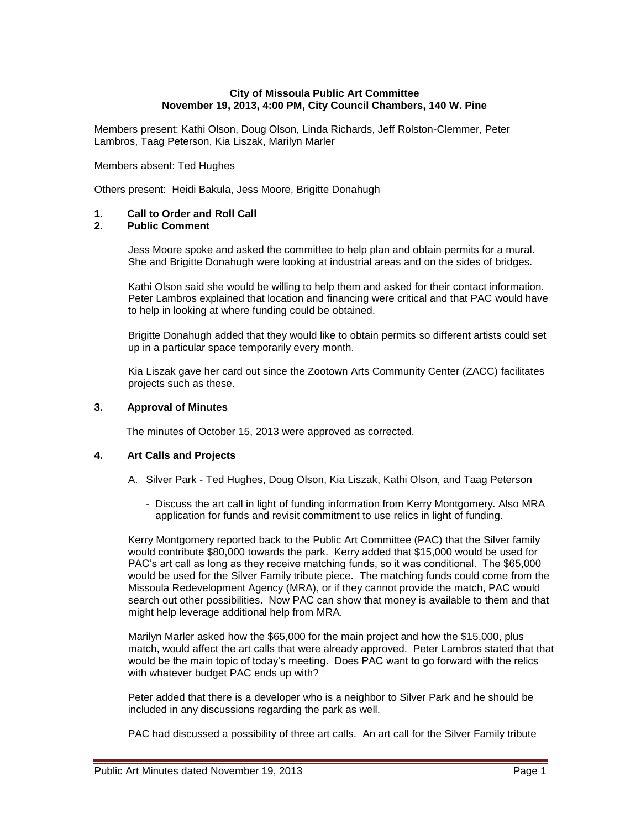## **City of Missoula Public Art Committee November 19, 2013, 4:00 PM, City Council Chambers, 140 W. Pine**

Members present: Kathi Olson, Doug Olson, Linda Richards, Jeff Rolston-Clemmer, Peter Lambros, Taag Peterson, Kia Liszak, Marilyn Marler

#### Members absent: Ted Hughes

Others present: Heidi Bakula, Jess Moore, Brigitte Donahugh

# **1. Call to Order and Roll Call**

# **2. Public Comment**

Jess Moore spoke and asked the committee to help plan and obtain permits for a mural. She and Brigitte Donahugh were looking at industrial areas and on the sides of bridges.

Kathi Olson said she would be willing to help them and asked for their contact information. Peter Lambros explained that location and financing were critical and that PAC would have to help in looking at where funding could be obtained.

Brigitte Donahugh added that they would like to obtain permits so different artists could set up in a particular space temporarily every month.

Kia Liszak gave her card out since the Zootown Arts Community Center (ZACC) facilitates projects such as these.

#### **3. Approval of Minutes**

The minutes of October 15, 2013 were approved as corrected.

## **4. Art Calls and Projects**

- A. Silver Park Ted Hughes, Doug Olson, Kia Liszak, Kathi Olson, and Taag Peterson
	- Discuss the art call in light of funding information from Kerry Montgomery. Also MRA application for funds and revisit commitment to use relics in light of funding.

Kerry Montgomery reported back to the Public Art Committee (PAC) that the Silver family would contribute \$80,000 towards the park. Kerry added that \$15,000 would be used for PAC's art call as long as they receive matching funds, so it was conditional. The \$65,000 would be used for the Silver Family tribute piece. The matching funds could come from the Missoula Redevelopment Agency (MRA), or if they cannot provide the match, PAC would search out other possibilities. Now PAC can show that money is available to them and that might help leverage additional help from MRA.

Marilyn Marler asked how the \$65,000 for the main project and how the \$15,000, plus match, would affect the art calls that were already approved. Peter Lambros stated that that would be the main topic of today's meeting. Does PAC want to go forward with the relics with whatever budget PAC ends up with?

Peter added that there is a developer who is a neighbor to Silver Park and he should be included in any discussions regarding the park as well.

PAC had discussed a possibility of three art calls. An art call for the Silver Family tribute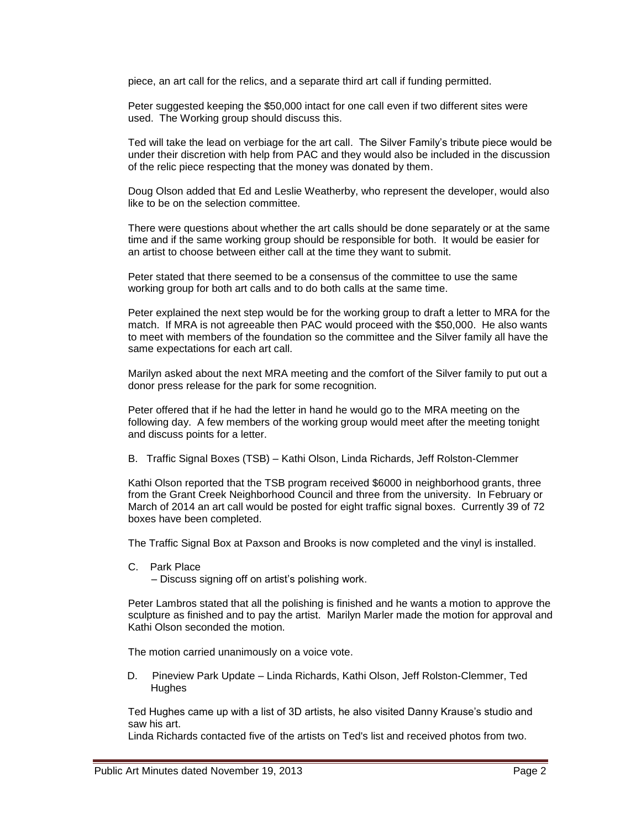piece, an art call for the relics, and a separate third art call if funding permitted.

Peter suggested keeping the \$50,000 intact for one call even if two different sites were used. The Working group should discuss this.

Ted will take the lead on verbiage for the art call. The Silver Family's tribute piece would be under their discretion with help from PAC and they would also be included in the discussion of the relic piece respecting that the money was donated by them.

Doug Olson added that Ed and Leslie Weatherby, who represent the developer, would also like to be on the selection committee.

There were questions about whether the art calls should be done separately or at the same time and if the same working group should be responsible for both. It would be easier for an artist to choose between either call at the time they want to submit.

Peter stated that there seemed to be a consensus of the committee to use the same working group for both art calls and to do both calls at the same time.

Peter explained the next step would be for the working group to draft a letter to MRA for the match. If MRA is not agreeable then PAC would proceed with the \$50,000. He also wants to meet with members of the foundation so the committee and the Silver family all have the same expectations for each art call.

Marilyn asked about the next MRA meeting and the comfort of the Silver family to put out a donor press release for the park for some recognition.

Peter offered that if he had the letter in hand he would go to the MRA meeting on the following day. A few members of the working group would meet after the meeting tonight and discuss points for a letter.

B. Traffic Signal Boxes (TSB) – Kathi Olson, Linda Richards, Jeff Rolston-Clemmer

Kathi Olson reported that the TSB program received \$6000 in neighborhood grants, three from the Grant Creek Neighborhood Council and three from the university. In February or March of 2014 an art call would be posted for eight traffic signal boxes. Currently 39 of 72 boxes have been completed.

The Traffic Signal Box at Paxson and Brooks is now completed and the vinyl is installed.

C. Park Place

– Discuss signing off on artist's polishing work.

Peter Lambros stated that all the polishing is finished and he wants a motion to approve the sculpture as finished and to pay the artist. Marilyn Marler made the motion for approval and Kathi Olson seconded the motion.

The motion carried unanimously on a voice vote.

D. Pineview Park Update – Linda Richards, Kathi Olson, Jeff Rolston-Clemmer, Ted **Hughes** 

Ted Hughes came up with a list of 3D artists, he also visited Danny Krause's studio and saw his art.

Linda Richards contacted five of the artists on Ted's list and received photos from two.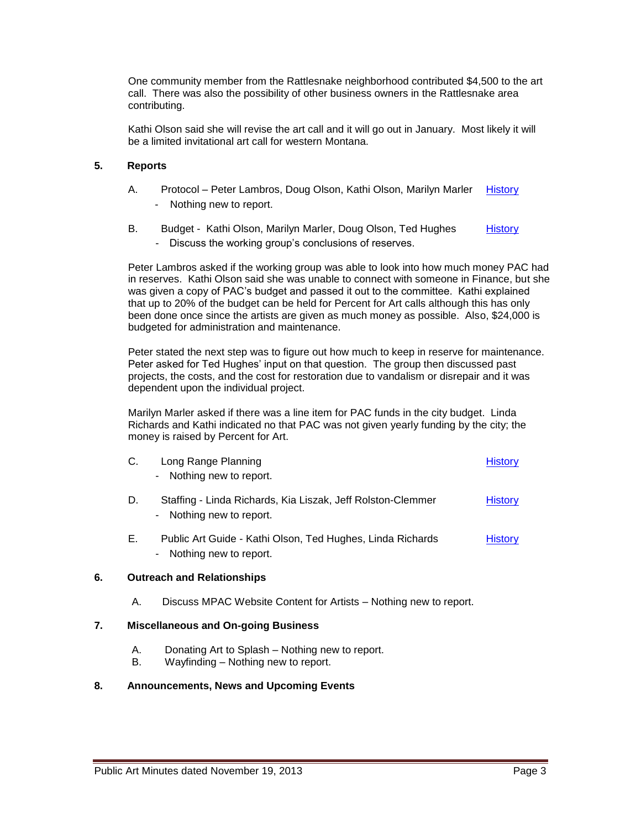One community member from the Rattlesnake neighborhood contributed \$4,500 to the art call. There was also the possibility of other business owners in the Rattlesnake area contributing.

Kathi Olson said she will revise the art call and it will go out in January. Most likely it will be a limited invitational art call for western Montana.

# **5. Reports**

- A. Protocol Peter Lambros, Doug Olson, Kathi Olson, Marilyn Marler [History](http://missoula.siretechnologies.com/sirepub/item.aspx?itemid=14984) - Nothing new to report.
- B. Budget Kathi Olson, Marilyn Marler, Doug Olson, Ted Hughes [History](http://missoula.siretechnologies.com/sirepub/item.aspx?itemid=14985) - Discuss the working group's conclusions of reserves.

Peter Lambros asked if the working group was able to look into how much money PAC had in reserves. Kathi Olson said she was unable to connect with someone in Finance, but she was given a copy of PAC's budget and passed it out to the committee. Kathi explained that up to 20% of the budget can be held for Percent for Art calls although this has only been done once since the artists are given as much money as possible. Also, \$24,000 is budgeted for administration and maintenance.

Peter stated the next step was to figure out how much to keep in reserve for maintenance. Peter asked for Ted Hughes' input on that question. The group then discussed past projects, the costs, and the cost for restoration due to vandalism or disrepair and it was dependent upon the individual project.

Marilyn Marler asked if there was a line item for PAC funds in the city budget. Linda Richards and Kathi indicated no that PAC was not given yearly funding by the city; the money is raised by Percent for Art.

| C. | Long Range Planning<br>- Nothing new to report.                                         | History        |
|----|-----------------------------------------------------------------------------------------|----------------|
| D. | Staffing - Linda Richards, Kia Liszak, Jeff Rolston-Clemmer<br>- Nothing new to report. | <b>History</b> |

E. Public Art Guide - Kathi Olson, Ted Hughes, Linda Richards [History](http://missoula.siretechnologies.com/sirepub/item.aspx?itemid=14988) - Nothing new to report.

## **6. Outreach and Relationships**

A. Discuss MPAC Website Content for Artists – Nothing new to report.

## **7. Miscellaneous and On-going Business**

- A. Donating Art to Splash Nothing new to report.
- B. Wayfinding Nothing new to report.

# **8. Announcements, News and Upcoming Events**